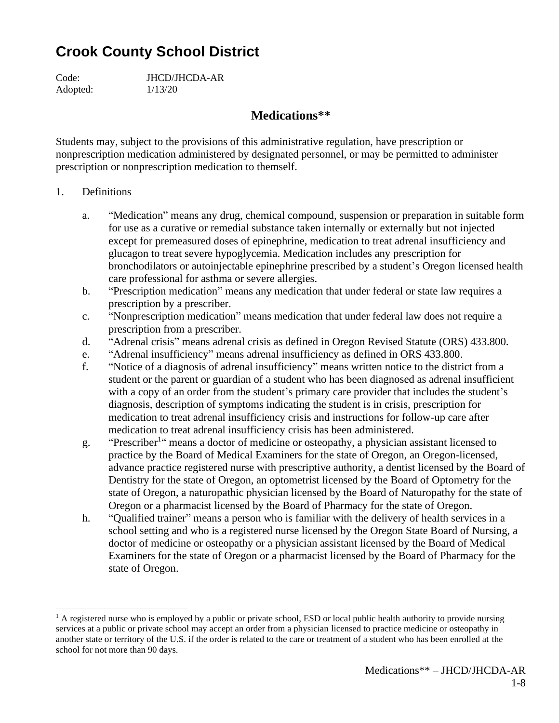## **Crook County School District**

Code: JHCD/JHCDA-AR Adopted: 1/13/20

## **Medications\*\***

Students may, subject to the provisions of this administrative regulation, have prescription or nonprescription medication administered by designated personnel, or may be permitted to administer prescription or nonprescription medication to themself.

- 1. Definitions
	- a. "Medication" means any drug, chemical compound, suspension or preparation in suitable form for use as a curative or remedial substance taken internally or externally but not injected except for premeasured doses of epinephrine, medication to treat adrenal insufficiency and glucagon to treat severe hypoglycemia. Medication includes any prescription for bronchodilators or autoinjectable epinephrine prescribed by a student's Oregon licensed health care professional for asthma or severe allergies.
	- b. "Prescription medication" means any medication that under federal or state law requires a prescription by a prescriber.
	- c. "Nonprescription medication" means medication that under federal law does not require a prescription from a prescriber.
	- d. "Adrenal crisis" means adrenal crisis as defined in Oregon Revised Statute (ORS) 433.800.
	- e. "Adrenal insufficiency" means adrenal insufficiency as defined in ORS 433.800.
	- f. "Notice of a diagnosis of adrenal insufficiency" means written notice to the district from a student or the parent or guardian of a student who has been diagnosed as adrenal insufficient with a copy of an order from the student's primary care provider that includes the student's diagnosis, description of symptoms indicating the student is in crisis, prescription for medication to treat adrenal insufficiency crisis and instructions for follow-up care after medication to treat adrenal insufficiency crisis has been administered.
	- g. "Prescriber<sup>1</sup>" means a doctor of medicine or osteopathy, a physician assistant licensed to practice by the Board of Medical Examiners for the state of Oregon, an Oregon-licensed, advance practice registered nurse with prescriptive authority, a dentist licensed by the Board of Dentistry for the state of Oregon, an optometrist licensed by the Board of Optometry for the state of Oregon, a naturopathic physician licensed by the Board of Naturopathy for the state of Oregon or a pharmacist licensed by the Board of Pharmacy for the state of Oregon.
	- h. "Qualified trainer" means a person who is familiar with the delivery of health services in a school setting and who is a registered nurse licensed by the Oregon State Board of Nursing, a doctor of medicine or osteopathy or a physician assistant licensed by the Board of Medical Examiners for the state of Oregon or a pharmacist licensed by the Board of Pharmacy for the state of Oregon.

 $<sup>1</sup>$  A registered nurse who is employed by a public or private school, ESD or local public health authority to provide nursing</sup> services at a public or private school may accept an order from a physician licensed to practice medicine or osteopathy in another state or territory of the U.S. if the order is related to the care or treatment of a student who has been enrolled at the school for not more than 90 days.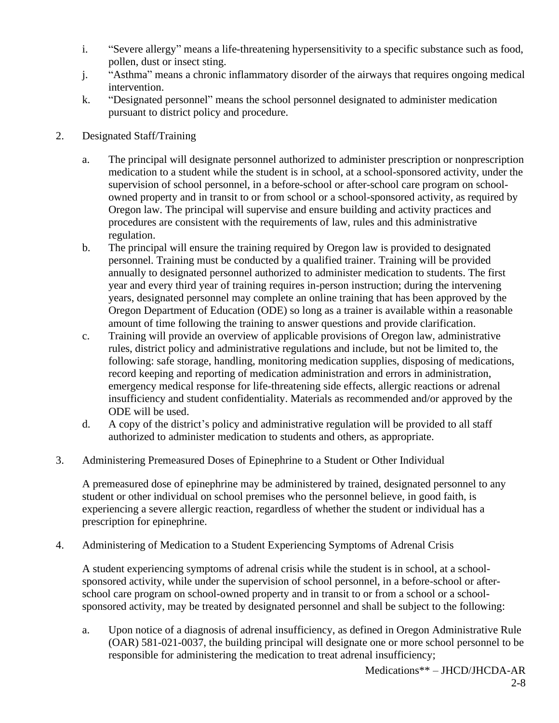- i. "Severe allergy" means a life-threatening hypersensitivity to a specific substance such as food, pollen, dust or insect sting.
- j. "Asthma" means a chronic inflammatory disorder of the airways that requires ongoing medical intervention.
- k. "Designated personnel" means the school personnel designated to administer medication pursuant to district policy and procedure.
- 2. Designated Staff/Training
	- a. The principal will designate personnel authorized to administer prescription or nonprescription medication to a student while the student is in school, at a school-sponsored activity, under the supervision of school personnel, in a before-school or after-school care program on schoolowned property and in transit to or from school or a school-sponsored activity, as required by Oregon law. The principal will supervise and ensure building and activity practices and procedures are consistent with the requirements of law, rules and this administrative regulation.
	- b. The principal will ensure the training required by Oregon law is provided to designated personnel. Training must be conducted by a qualified trainer. Training will be provided annually to designated personnel authorized to administer medication to students. The first year and every third year of training requires in-person instruction; during the intervening years, designated personnel may complete an online training that has been approved by the Oregon Department of Education (ODE) so long as a trainer is available within a reasonable amount of time following the training to answer questions and provide clarification.
	- c. Training will provide an overview of applicable provisions of Oregon law, administrative rules, district policy and administrative regulations and include, but not be limited to, the following: safe storage, handling, monitoring medication supplies, disposing of medications, record keeping and reporting of medication administration and errors in administration, emergency medical response for life-threatening side effects, allergic reactions or adrenal insufficiency and student confidentiality. Materials as recommended and/or approved by the ODE will be used.
	- d. A copy of the district's policy and administrative regulation will be provided to all staff authorized to administer medication to students and others, as appropriate.
- 3. Administering Premeasured Doses of Epinephrine to a Student or Other Individual

A premeasured dose of epinephrine may be administered by trained, designated personnel to any student or other individual on school premises who the personnel believe, in good faith, is experiencing a severe allergic reaction, regardless of whether the student or individual has a prescription for epinephrine.

4. Administering of Medication to a Student Experiencing Symptoms of Adrenal Crisis

A student experiencing symptoms of adrenal crisis while the student is in school, at a schoolsponsored activity, while under the supervision of school personnel, in a before-school or afterschool care program on school-owned property and in transit to or from a school or a schoolsponsored activity, may be treated by designated personnel and shall be subject to the following:

a. Upon notice of a diagnosis of adrenal insufficiency, as defined in Oregon Administrative Rule (OAR) 581-021-0037, the building principal will designate one or more school personnel to be responsible for administering the medication to treat adrenal insufficiency;

Medications\*\* – JHCD/JHCDA-AR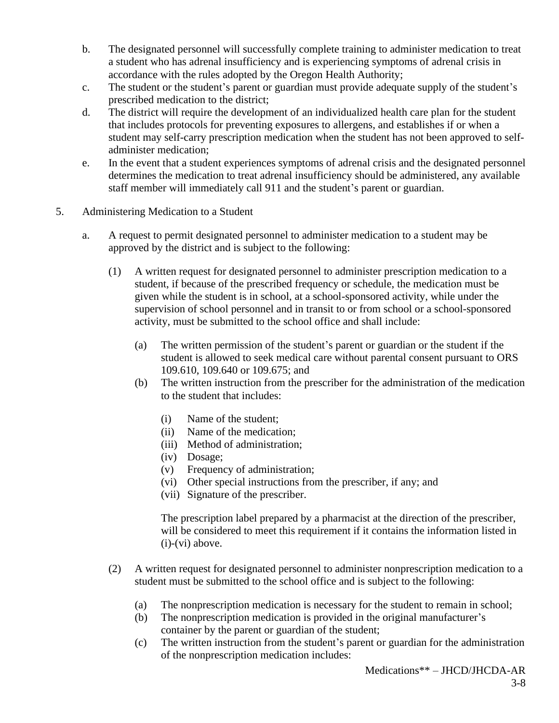- b. The designated personnel will successfully complete training to administer medication to treat a student who has adrenal insufficiency and is experiencing symptoms of adrenal crisis in accordance with the rules adopted by the Oregon Health Authority;
- c. The student or the student's parent or guardian must provide adequate supply of the student's prescribed medication to the district;
- d. The district will require the development of an individualized health care plan for the student that includes protocols for preventing exposures to allergens, and establishes if or when a student may self-carry prescription medication when the student has not been approved to selfadminister medication;
- e. In the event that a student experiences symptoms of adrenal crisis and the designated personnel determines the medication to treat adrenal insufficiency should be administered, any available staff member will immediately call 911 and the student's parent or guardian.
- 5. Administering Medication to a Student
	- a. A request to permit designated personnel to administer medication to a student may be approved by the district and is subject to the following:
		- (1) A written request for designated personnel to administer prescription medication to a student, if because of the prescribed frequency or schedule, the medication must be given while the student is in school, at a school-sponsored activity, while under the supervision of school personnel and in transit to or from school or a school-sponsored activity, must be submitted to the school office and shall include:
			- (a) The written permission of the student's parent or guardian or the student if the student is allowed to seek medical care without parental consent pursuant to ORS 109.610, 109.640 or 109.675; and
			- (b) The written instruction from the prescriber for the administration of the medication to the student that includes:
				- (i) Name of the student;
				- (ii) Name of the medication;
				- (iii) Method of administration;
				- (iv) Dosage;
				- (v) Frequency of administration;
				- (vi) Other special instructions from the prescriber, if any; and
				- (vii) Signature of the prescriber.

The prescription label prepared by a pharmacist at the direction of the prescriber, will be considered to meet this requirement if it contains the information listed in (i)-(vi) above.

- (2) A written request for designated personnel to administer nonprescription medication to a student must be submitted to the school office and is subject to the following:
	- (a) The nonprescription medication is necessary for the student to remain in school;
	- (b) The nonprescription medication is provided in the original manufacturer's container by the parent or guardian of the student;
	- (c) The written instruction from the student's parent or guardian for the administration of the nonprescription medication includes: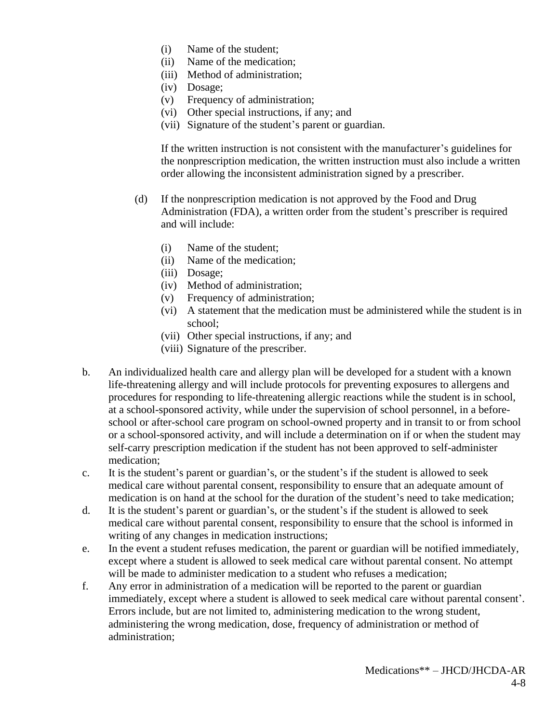- (i) Name of the student;
- (ii) Name of the medication;
- (iii) Method of administration;
- (iv) Dosage;
- (v) Frequency of administration;
- (vi) Other special instructions, if any; and
- (vii) Signature of the student's parent or guardian.

If the written instruction is not consistent with the manufacturer's guidelines for the nonprescription medication, the written instruction must also include a written order allowing the inconsistent administration signed by a prescriber.

- (d) If the nonprescription medication is not approved by the Food and Drug Administration (FDA), a written order from the student's prescriber is required and will include:
	- (i) Name of the student;
	- (ii) Name of the medication;
	- (iii) Dosage;
	- (iv) Method of administration;
	- (v) Frequency of administration;
	- (vi) A statement that the medication must be administered while the student is in school;
	- (vii) Other special instructions, if any; and
	- (viii) Signature of the prescriber.
- b. An individualized health care and allergy plan will be developed for a student with a known life-threatening allergy and will include protocols for preventing exposures to allergens and procedures for responding to life-threatening allergic reactions while the student is in school, at a school-sponsored activity, while under the supervision of school personnel, in a beforeschool or after-school care program on school-owned property and in transit to or from school or a school-sponsored activity, and will include a determination on if or when the student may self-carry prescription medication if the student has not been approved to self-administer medication;
- c. It is the student's parent or guardian's, or the student's if the student is allowed to seek medical care without parental consent, responsibility to ensure that an adequate amount of medication is on hand at the school for the duration of the student's need to take medication;
- d. It is the student's parent or guardian's, or the student's if the student is allowed to seek medical care without parental consent, responsibility to ensure that the school is informed in writing of any changes in medication instructions;
- e. In the event a student refuses medication, the parent or guardian will be notified immediately, except where a student is allowed to seek medical care without parental consent. No attempt will be made to administer medication to a student who refuses a medication:
- f. Any error in administration of a medication will be reported to the parent or guardian immediately, except where a student is allowed to seek medical care without parental consent'. Errors include, but are not limited to, administering medication to the wrong student, administering the wrong medication, dose, frequency of administration or method of administration;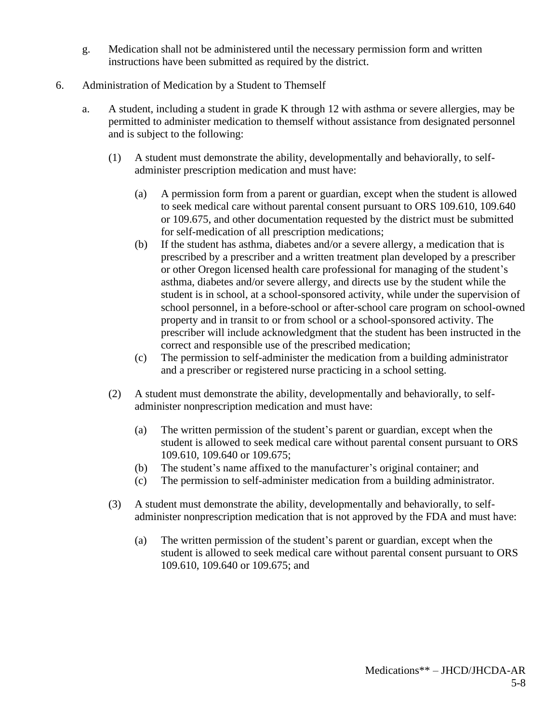- g. Medication shall not be administered until the necessary permission form and written instructions have been submitted as required by the district.
- 6. Administration of Medication by a Student to Themself
	- a. A student, including a student in grade K through 12 with asthma or severe allergies, may be permitted to administer medication to themself without assistance from designated personnel and is subject to the following:
		- (1) A student must demonstrate the ability, developmentally and behaviorally, to selfadminister prescription medication and must have:
			- (a) A permission form from a parent or guardian, except when the student is allowed to seek medical care without parental consent pursuant to ORS 109.610, 109.640 or 109.675, and other documentation requested by the district must be submitted for self-medication of all prescription medications;
			- (b) If the student has asthma, diabetes and/or a severe allergy, a medication that is prescribed by a prescriber and a written treatment plan developed by a prescriber or other Oregon licensed health care professional for managing of the student's asthma, diabetes and/or severe allergy, and directs use by the student while the student is in school, at a school-sponsored activity, while under the supervision of school personnel, in a before-school or after-school care program on school-owned property and in transit to or from school or a school-sponsored activity. The prescriber will include acknowledgment that the student has been instructed in the correct and responsible use of the prescribed medication;
			- (c) The permission to self-administer the medication from a building administrator and a prescriber or registered nurse practicing in a school setting.
		- (2) A student must demonstrate the ability, developmentally and behaviorally, to selfadminister nonprescription medication and must have:
			- (a) The written permission of the student's parent or guardian, except when the student is allowed to seek medical care without parental consent pursuant to ORS 109.610, 109.640 or 109.675;
			- (b) The student's name affixed to the manufacturer's original container; and
			- (c) The permission to self-administer medication from a building administrator.
		- (3) A student must demonstrate the ability, developmentally and behaviorally, to selfadminister nonprescription medication that is not approved by the FDA and must have:
			- (a) The written permission of the student's parent or guardian, except when the student is allowed to seek medical care without parental consent pursuant to ORS 109.610, 109.640 or 109.675; and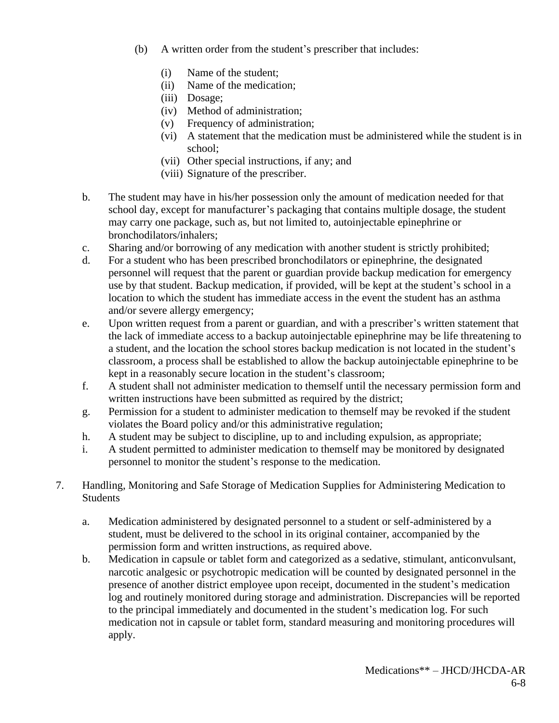- (b) A written order from the student's prescriber that includes:
	- (i) Name of the student;
	- (ii) Name of the medication;
	- (iii) Dosage;
	- (iv) Method of administration;
	- (v) Frequency of administration;
	- (vi) A statement that the medication must be administered while the student is in school;
	- (vii) Other special instructions, if any; and
	- (viii) Signature of the prescriber.
- b. The student may have in his/her possession only the amount of medication needed for that school day, except for manufacturer's packaging that contains multiple dosage, the student may carry one package, such as, but not limited to, autoinjectable epinephrine or bronchodilators/inhalers;
- c. Sharing and/or borrowing of any medication with another student is strictly prohibited;
- d. For a student who has been prescribed bronchodilators or epinephrine, the designated personnel will request that the parent or guardian provide backup medication for emergency use by that student. Backup medication, if provided, will be kept at the student's school in a location to which the student has immediate access in the event the student has an asthma and/or severe allergy emergency;
- e. Upon written request from a parent or guardian, and with a prescriber's written statement that the lack of immediate access to a backup autoinjectable epinephrine may be life threatening to a student, and the location the school stores backup medication is not located in the student's classroom, a process shall be established to allow the backup autoinjectable epinephrine to be kept in a reasonably secure location in the student's classroom;
- f. A student shall not administer medication to themself until the necessary permission form and written instructions have been submitted as required by the district;
- g. Permission for a student to administer medication to themself may be revoked if the student violates the Board policy and/or this administrative regulation;
- h. A student may be subject to discipline, up to and including expulsion, as appropriate;
- i. A student permitted to administer medication to themself may be monitored by designated personnel to monitor the student's response to the medication.
- 7. Handling, Monitoring and Safe Storage of Medication Supplies for Administering Medication to Students
	- a. Medication administered by designated personnel to a student or self-administered by a student, must be delivered to the school in its original container, accompanied by the permission form and written instructions, as required above.
	- b. Medication in capsule or tablet form and categorized as a sedative, stimulant, anticonvulsant, narcotic analgesic or psychotropic medication will be counted by designated personnel in the presence of another district employee upon receipt, documented in the student's medication log and routinely monitored during storage and administration. Discrepancies will be reported to the principal immediately and documented in the student's medication log. For such medication not in capsule or tablet form, standard measuring and monitoring procedures will apply.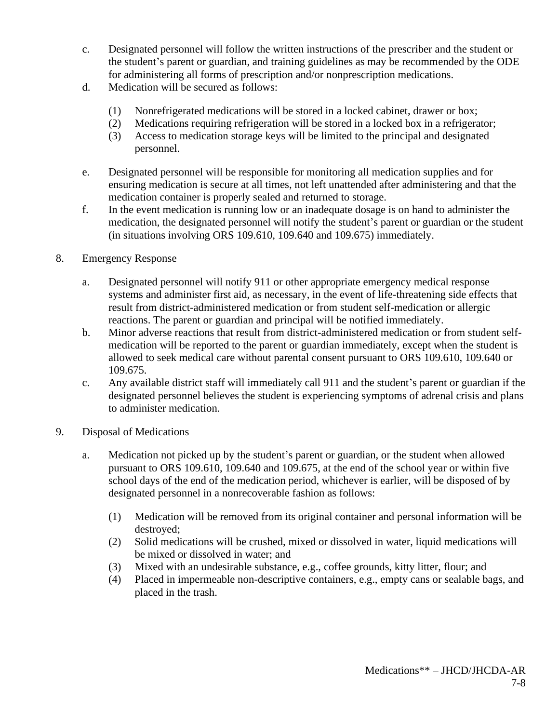- c. Designated personnel will follow the written instructions of the prescriber and the student or the student's parent or guardian, and training guidelines as may be recommended by the ODE for administering all forms of prescription and/or nonprescription medications.
- d. Medication will be secured as follows:
	- (1) Nonrefrigerated medications will be stored in a locked cabinet, drawer or box;
	- (2) Medications requiring refrigeration will be stored in a locked box in a refrigerator;
	- (3) Access to medication storage keys will be limited to the principal and designated personnel.
- e. Designated personnel will be responsible for monitoring all medication supplies and for ensuring medication is secure at all times, not left unattended after administering and that the medication container is properly sealed and returned to storage.
- f. In the event medication is running low or an inadequate dosage is on hand to administer the medication, the designated personnel will notify the student's parent or guardian or the student (in situations involving ORS 109.610, 109.640 and 109.675) immediately.
- 8. Emergency Response
	- a. Designated personnel will notify 911 or other appropriate emergency medical response systems and administer first aid, as necessary, in the event of life-threatening side effects that result from district-administered medication or from student self-medication or allergic reactions. The parent or guardian and principal will be notified immediately.
	- b. Minor adverse reactions that result from district-administered medication or from student selfmedication will be reported to the parent or guardian immediately, except when the student is allowed to seek medical care without parental consent pursuant to ORS 109.610, 109.640 or 109.675.
	- c. Any available district staff will immediately call 911 and the student's parent or guardian if the designated personnel believes the student is experiencing symptoms of adrenal crisis and plans to administer medication.
- 9. Disposal of Medications
	- a. Medication not picked up by the student's parent or guardian, or the student when allowed pursuant to ORS 109.610, 109.640 and 109.675, at the end of the school year or within five school days of the end of the medication period, whichever is earlier, will be disposed of by designated personnel in a nonrecoverable fashion as follows:
		- (1) Medication will be removed from its original container and personal information will be destroyed;
		- (2) Solid medications will be crushed, mixed or dissolved in water, liquid medications will be mixed or dissolved in water; and
		- (3) Mixed with an undesirable substance, e.g., coffee grounds, kitty litter, flour; and
		- (4) Placed in impermeable non-descriptive containers, e.g., empty cans or sealable bags, and placed in the trash.